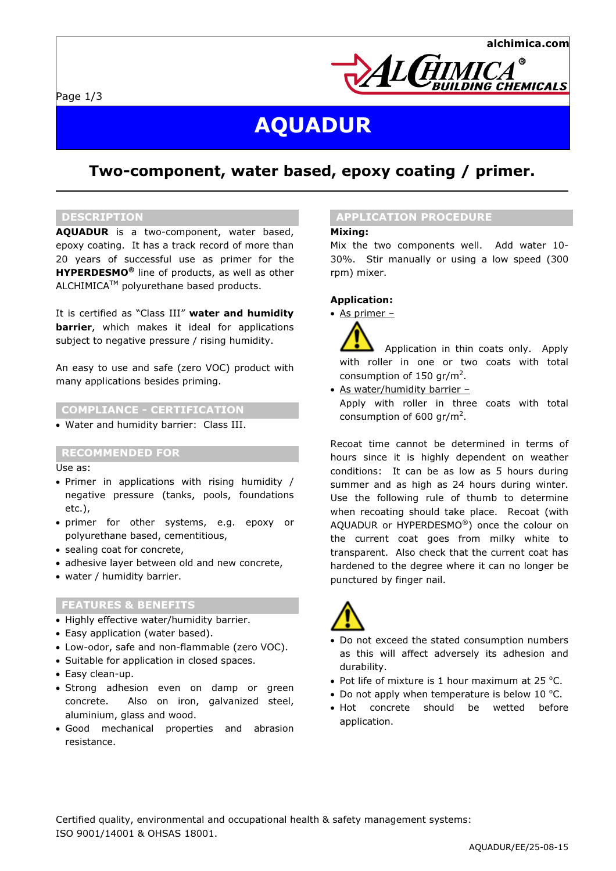

# AQUADUR

# Two-component, water based, epoxy coating / primer.

### DESCRIPTION

AQUADUR is a two-component, water based, epoxy coating. It has a track record of more than 20 years of successful use as primer for the **HYPERDESMO<sup>®</sup>** line of products, as well as other ALCHIMICATM polyurethane based products.

It is certified as "Class III" water and humidity **barrier**, which makes it ideal for applications subject to negative pressure / rising humidity.

An easy to use and safe (zero VOC) product with many applications besides priming.

#### COMPLIANCE - CERTIFICATION

• Water and humidity barrier: Class III.

#### RECOMMENDED FOR

Use as:

- Primer in applications with rising humidity / negative pressure (tanks, pools, foundations etc.),
- primer for other systems, e.g. epoxy or polyurethane based, cementitious,
- sealing coat for concrete,
- adhesive laver between old and new concrete.
- water / humidity barrier.

## FEATURES & BENEFITS

- Highly effective water/humidity barrier.
- Easy application (water based).
- Low-odor, safe and non-flammable (zero VOC).
- Suitable for application in closed spaces.
- Easy clean-up.
- Strong adhesion even on damp or green concrete. Also on iron, galvanized steel, aluminium, glass and wood.
- Good mechanical properties and abrasion resistance.

#### APPLICATION PROCEDURE

#### Mixing:

Mix the two components well. Add water 10- 30%. Stir manually or using a low speed (300 rpm) mixer.

### Application:

• As primer –

 Application in thin coats only. Apply with roller in one or two coats with total consumption of  $150$  gr/m<sup>2</sup>.

• As water/humidity barrier –

Apply with roller in three coats with total consumption of 600 gr/m<sup>2</sup>.

Recoat time cannot be determined in terms of hours since it is highly dependent on weather conditions: It can be as low as 5 hours during summer and as high as 24 hours during winter. Use the following rule of thumb to determine when recoating should take place. Recoat (with AQUADUR or HYPERDESMO®) once the colour on the current coat goes from milky white to transparent. Also check that the current coat has hardened to the degree where it can no longer be punctured by finger nail.



- Do not exceed the stated consumption numbers as this will affect adversely its adhesion and durability.
- Pot life of mixture is 1 hour maximum at  $25$  °C.
- Do not apply when temperature is below 10  $°C$ .
- Hot concrete should be wetted before application.

Certified quality, environmental and occupational health & safety management systems: ISO 9001/14001 & OHSAS 18001.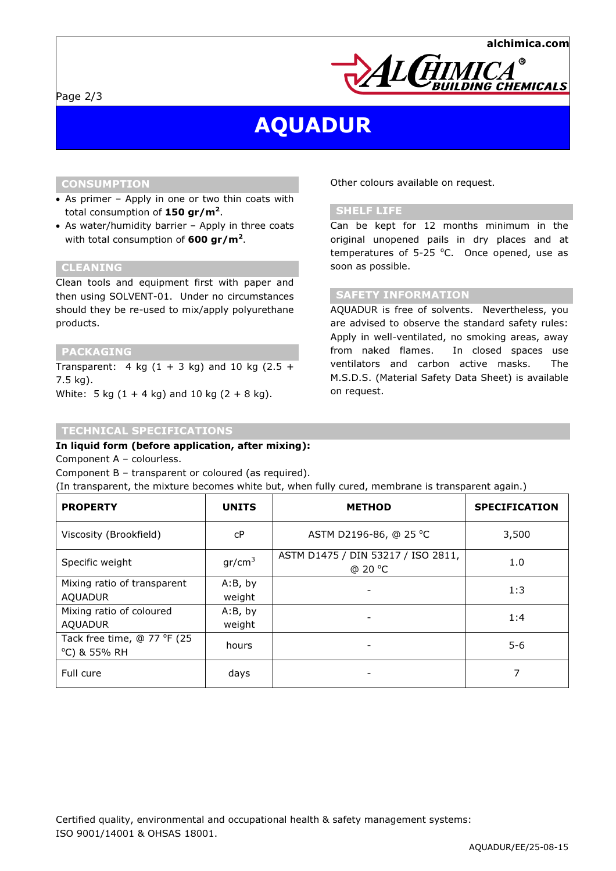

# AQUADUR

# **CONSUMPTION**

- As primer Apply in one or two thin coats with total consumption of  $150$  gr/m<sup>2</sup>.
- As water/humidity barrier Apply in three coats with total consumption of 600 gr/m<sup>2</sup>.

## CLEANING

Clean tools and equipment first with paper and then using SOLVENT-01. Under no circumstances should they be re-used to mix/apply polyurethane products.

#### PACKAGING

Transparent: 4 kg  $(1 + 3$  kg) and 10 kg  $(2.5 +$ 7.5 kg). White:  $5 \text{ kg} (1 + 4 \text{ kg})$  and  $10 \text{ kg} (2 + 8 \text{ kg})$ .

# TECHNICAL SPECIFICATIONS

### In liquid form (before application, after mixing):

Component A – colourless.

Component B – transparent or coloured (as required).

(In transparent, the mixture becomes white but, when fully cured, membrane is transparent again.)

| <b>PROPERTY</b>                               | <b>UNITS</b>       | <b>METHOD</b>                                 | <b>SPECIFICATION</b> |
|-----------------------------------------------|--------------------|-----------------------------------------------|----------------------|
| Viscosity (Brookfield)                        | cP                 | ASTM D2196-86, @ 25 °C                        | 3,500                |
| Specific weight                               | gr/cm <sup>3</sup> | ASTM D1475 / DIN 53217 / ISO 2811,<br>@ 20 °C | 1.0                  |
| Mixing ratio of transparent<br><b>AQUADUR</b> | A:B, by<br>weight  |                                               | 1:3                  |
| Mixing ratio of coloured<br><b>AQUADUR</b>    | A:B, by<br>weight  |                                               | 1:4                  |
| Tack free time, @ 77 °F (25<br>°C) & 55% RH   | hours              | $\overline{\phantom{a}}$                      | $5 - 6$              |
| Full cure                                     | days               |                                               |                      |

Other colours available on request.

# SHELF LIFE

Can be kept for 12 months minimum in the original unopened pails in dry places and at temperatures of 5-25  $°C$ . Once opened, use as soon as possible.

## SAFETY INFORMATION

AQUADUR is free of solvents. Nevertheless, you are advised to observe the standard safety rules: Apply in well-ventilated, no smoking areas, away from naked flames. In closed spaces use ventilators and carbon active masks. The M.S.D.S. (Material Safety Data Sheet) is available on request.